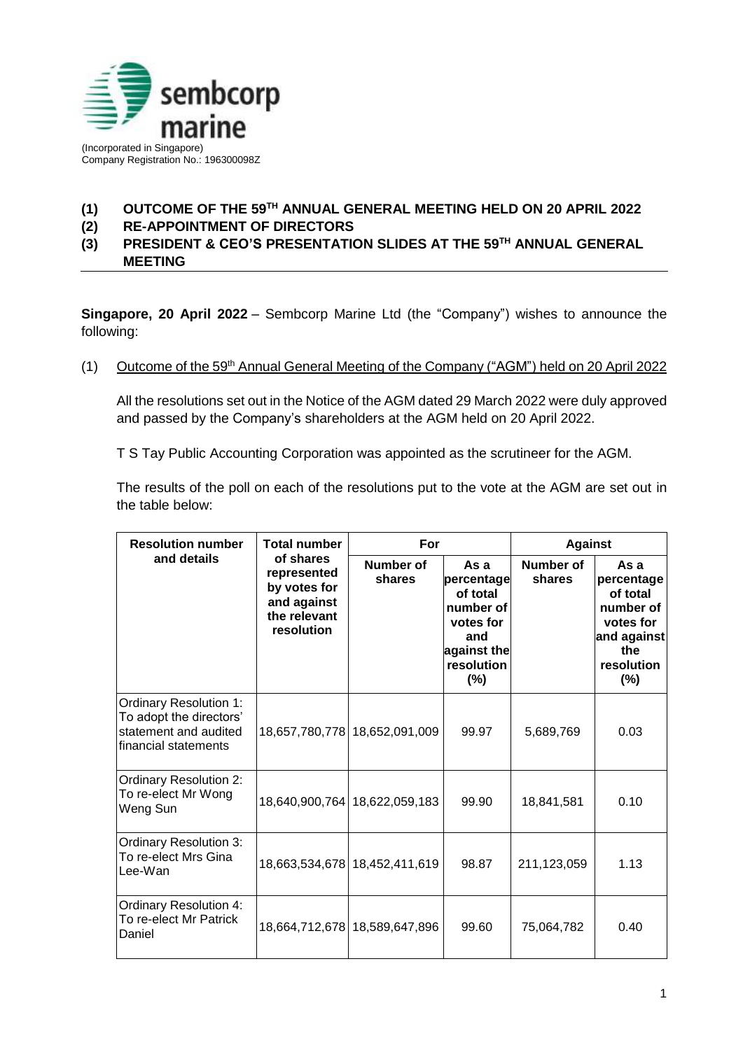

## **(1) OUTCOME OF THE 59TH ANNUAL GENERAL MEETING HELD ON 20 APRIL 2022**

**(2) RE-APPOINTMENT OF DIRECTORS**

**(3) PRESIDENT & CEO'S PRESENTATION SLIDES AT THE 59TH ANNUAL GENERAL MEETING**

**Singapore, 20 April 2022** – Sembcorp Marine Ltd (the "Company") wishes to announce the following:

## (1) Outcome of the 59th Annual General Meeting of the Company ("AGM") held on 20 April 2022

All the resolutions set out in the Notice of the AGM dated 29 March 2022 were duly approved and passed by the Company's shareholders at the AGM held on 20 April 2022.

T S Tay Public Accounting Corporation was appointed as the scrutineer for the AGM.

The results of the poll on each of the resolutions put to the vote at the AGM are set out in the table below:

| <b>Resolution number</b><br>and details                                                                   | <b>Total number</b><br>of shares<br>represented<br>by votes for<br>and against<br>the relevant<br>resolution | For                           |                                                                                                       | <b>Against</b>      |                                                                                                        |
|-----------------------------------------------------------------------------------------------------------|--------------------------------------------------------------------------------------------------------------|-------------------------------|-------------------------------------------------------------------------------------------------------|---------------------|--------------------------------------------------------------------------------------------------------|
|                                                                                                           |                                                                                                              | Number of<br>shares           | Asa<br>percentage<br>of total<br>number of<br>votes for<br>and<br>against the<br>resolution<br>$(\%)$ | Number of<br>shares | As a<br>percentage<br>of total<br>number of<br>votes for<br>and against<br>the<br>resolution<br>$(\%)$ |
| <b>Ordinary Resolution 1:</b><br>To adopt the directors'<br>statement and audited<br>financial statements |                                                                                                              | 18,657,780,778 18,652,091,009 | 99.97                                                                                                 | 5,689,769           | 0.03                                                                                                   |
| <b>Ordinary Resolution 2:</b><br>To re-elect Mr Wong<br>Weng Sun                                          |                                                                                                              | 18,640,900,764 18,622,059,183 | 99.90                                                                                                 | 18,841,581          | 0.10                                                                                                   |
| <b>Ordinary Resolution 3:</b><br>To re-elect Mrs Gina<br>Lee-Wan                                          |                                                                                                              | 18,663,534,678 18,452,411,619 | 98.87                                                                                                 | 211,123,059         | 1.13                                                                                                   |
| <b>Ordinary Resolution 4:</b><br>To re-elect Mr Patrick<br>Daniel                                         |                                                                                                              | 18,664,712,678 18,589,647,896 | 99.60                                                                                                 | 75,064,782          | 0.40                                                                                                   |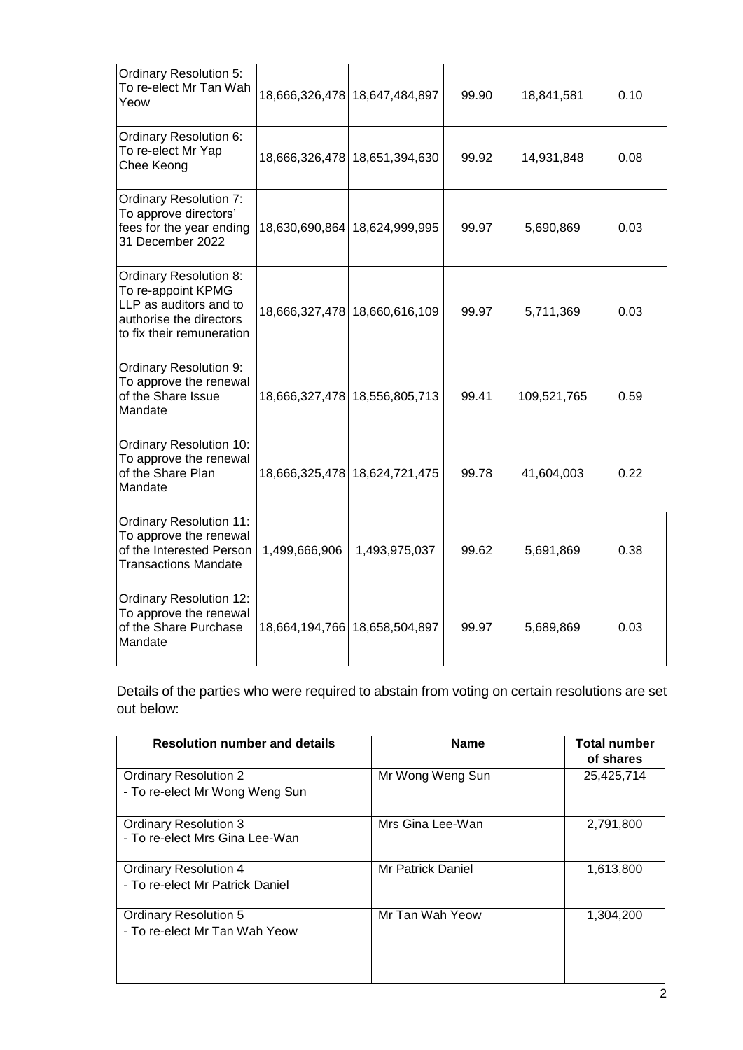| <b>Ordinary Resolution 5:</b><br>To re-elect Mr Tan Wah<br>Yeow                                                                       |               | 18,666,326,478 18,647,484,897 | 99.90 | 18,841,581  | 0.10 |
|---------------------------------------------------------------------------------------------------------------------------------------|---------------|-------------------------------|-------|-------------|------|
| Ordinary Resolution 6:<br>To re-elect Mr Yap<br>Chee Keong                                                                            |               | 18,666,326,478 18,651,394,630 | 99.92 | 14,931,848  | 0.08 |
| <b>Ordinary Resolution 7:</b><br>To approve directors'<br>fees for the year ending<br>31 December 2022                                |               | 18,630,690,864 18,624,999,995 | 99.97 | 5,690,869   | 0.03 |
| <b>Ordinary Resolution 8:</b><br>To re-appoint KPMG<br>LLP as auditors and to<br>authorise the directors<br>to fix their remuneration |               | 18,666,327,478 18,660,616,109 | 99.97 | 5,711,369   | 0.03 |
| Ordinary Resolution 9:<br>To approve the renewal<br>of the Share Issue<br>Mandate                                                     |               | 18,666,327,478 18,556,805,713 | 99.41 | 109,521,765 | 0.59 |
| <b>Ordinary Resolution 10:</b><br>To approve the renewal<br>of the Share Plan<br>Mandate                                              |               | 18,666,325,478 18,624,721,475 | 99.78 | 41,604,003  | 0.22 |
| <b>Ordinary Resolution 11:</b><br>To approve the renewal<br>of the Interested Person<br><b>Transactions Mandate</b>                   | 1,499,666,906 | 1,493,975,037                 | 99.62 | 5,691,869   | 0.38 |
| <b>Ordinary Resolution 12:</b><br>To approve the renewal<br>of the Share Purchase<br>Mandate                                          |               | 18,664,194,766 18,658,504,897 | 99.97 | 5,689,869   | 0.03 |

Details of the parties who were required to abstain from voting on certain resolutions are set out below:

| <b>Resolution number and details</b>                            | <b>Name</b>       | <b>Total number</b><br>of shares |
|-----------------------------------------------------------------|-------------------|----------------------------------|
| <b>Ordinary Resolution 2</b><br>- To re-elect Mr Wong Weng Sun  | Mr Wong Weng Sun  | 25,425,714                       |
| <b>Ordinary Resolution 3</b><br>- To re-elect Mrs Gina Lee-Wan  | Mrs Gina Lee-Wan  | 2,791,800                        |
| <b>Ordinary Resolution 4</b><br>- To re-elect Mr Patrick Daniel | Mr Patrick Daniel | 1,613,800                        |
| <b>Ordinary Resolution 5</b><br>- To re-elect Mr Tan Wah Yeow   | Mr Tan Wah Yeow   | 1,304,200                        |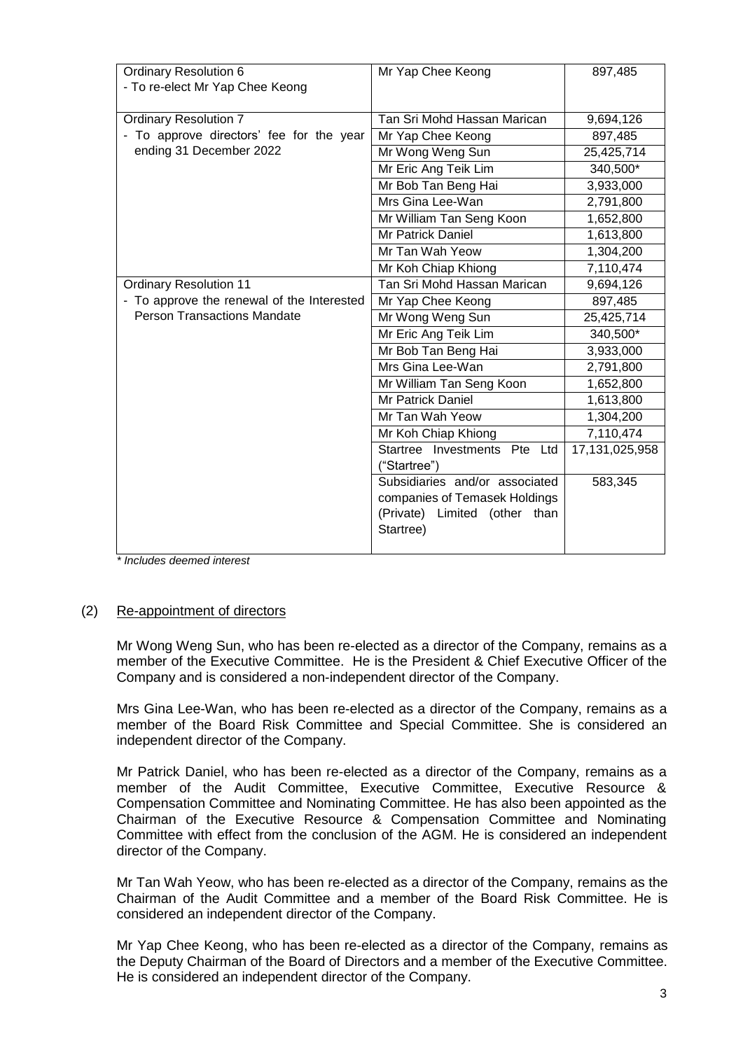| <b>Ordinary Resolution 6</b>               | Mr Yap Chee Keong              | 897,485        |
|--------------------------------------------|--------------------------------|----------------|
| - To re-elect Mr Yap Chee Keong            |                                |                |
|                                            |                                |                |
| <b>Ordinary Resolution 7</b>               | Tan Sri Mohd Hassan Marican    | 9,694,126      |
| - To approve directors' fee for the year   | Mr Yap Chee Keong              | 897,485        |
| ending 31 December 2022                    | Mr Wong Weng Sun               | 25,425,714     |
|                                            | Mr Eric Ang Teik Lim           | 340,500*       |
|                                            | Mr Bob Tan Beng Hai            | 3,933,000      |
|                                            | Mrs Gina Lee-Wan               | 2,791,800      |
|                                            | Mr William Tan Seng Koon       | 1,652,800      |
|                                            | <b>Mr Patrick Daniel</b>       | 1,613,800      |
|                                            | Mr Tan Wah Yeow                | 1,304,200      |
|                                            | Mr Koh Chiap Khiong            | 7,110,474      |
| <b>Ordinary Resolution 11</b>              | Tan Sri Mohd Hassan Marican    | 9,694,126      |
| - To approve the renewal of the Interested | Mr Yap Chee Keong              | 897,485        |
| <b>Person Transactions Mandate</b>         | Mr Wong Weng Sun               | 25,425,714     |
|                                            | Mr Eric Ang Teik Lim           | 340,500*       |
|                                            | Mr Bob Tan Beng Hai            | 3,933,000      |
|                                            | Mrs Gina Lee-Wan               | 2,791,800      |
|                                            | Mr William Tan Seng Koon       | 1,652,800      |
|                                            | <b>Mr Patrick Daniel</b>       | 1,613,800      |
|                                            | Mr Tan Wah Yeow                | 1,304,200      |
|                                            | Mr Koh Chiap Khiong            | 7,110,474      |
|                                            | Startree Investments Pte Ltd   | 17,131,025,958 |
|                                            | ("Startree")                   |                |
|                                            | Subsidiaries and/or associated | 583,345        |
|                                            | companies of Temasek Holdings  |                |
|                                            | (Private) Limited (other than  |                |
|                                            | Startree)                      |                |
|                                            |                                |                |

*\* Includes deemed interest*

## (2) Re-appointment of directors

Mr Wong Weng Sun, who has been re-elected as a director of the Company, remains as a member of the Executive Committee. He is the President & Chief Executive Officer of the Company and is considered a non-independent director of the Company.

Mrs Gina Lee-Wan, who has been re-elected as a director of the Company, remains as a member of the Board Risk Committee and Special Committee. She is considered an independent director of the Company.

Mr Patrick Daniel, who has been re-elected as a director of the Company, remains as a member of the Audit Committee, Executive Committee, Executive Resource & Compensation Committee and Nominating Committee. He has also been appointed as the Chairman of the Executive Resource & Compensation Committee and Nominating Committee with effect from the conclusion of the AGM. He is considered an independent director of the Company.

Mr Tan Wah Yeow, who has been re-elected as a director of the Company, remains as the Chairman of the Audit Committee and a member of the Board Risk Committee. He is considered an independent director of the Company.

Mr Yap Chee Keong, who has been re-elected as a director of the Company, remains as the Deputy Chairman of the Board of Directors and a member of the Executive Committee. He is considered an independent director of the Company.